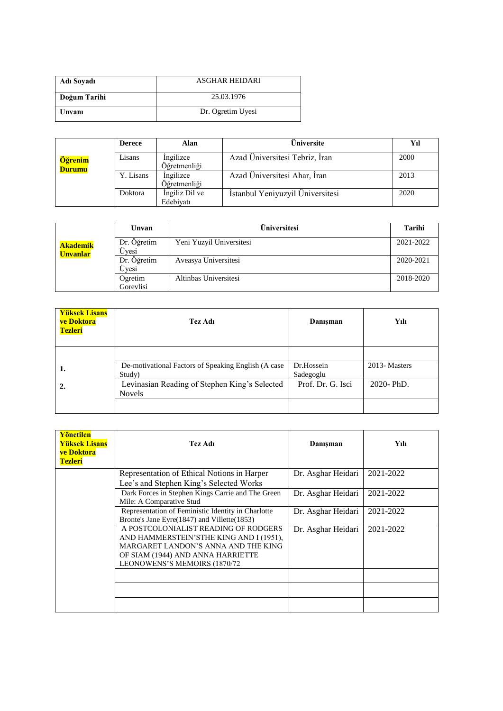| Adı Soyadı   | <b>ASGHAR HEIDARI</b> |  |  |  |
|--------------|-----------------------|--|--|--|
| Doğum Tarihi | 25.03.1976            |  |  |  |
| Unvani       | Dr. Ogretim Uyesi     |  |  |  |

|                          | <b>Derece</b> | Alan                        | Üniversite                       | Yıl  |
|--------------------------|---------------|-----------------------------|----------------------------------|------|
| Öğrenim<br><b>Durumu</b> | Lisans        | Ingilizce<br>Öğretmenliği   | Azad Universitesi Tebriz, Iran   | 2000 |
|                          | Y. Lisans     | Ingilizce<br>Öğretmenliği   | Azad Üniversitesi Ahar, İran     | 2013 |
|                          | Doktora       | Ingiliz Dil ve<br>Edebivati | İstanbul Yeniyuzyil Üniversitesi | 2020 |

|                                    | Unvan                | Universitesi             | Tarihi    |
|------------------------------------|----------------------|--------------------------|-----------|
| <b>Akademik</b><br><b>Unvanlar</b> | Dr. Öğretim<br>Uvesi | Yeni Yuzyil Universitesi | 2021-2022 |
|                                    | Dr. Öğretim<br>Uvesi | Aveasya Universitesi     | 2020-2021 |
|                                    | Ogretim<br>Gorevlisi | Altinbas Universitesi    | 2018-2020 |

| <b>Yüksek Lisans</b><br>ve Doktora<br><b>Tezleri</b> | Tez Adı                                                        | Danisman                | Yılı         |
|------------------------------------------------------|----------------------------------------------------------------|-------------------------|--------------|
| 1.                                                   | De-motivational Factors of Speaking English (A case<br>Study)  | Dr.Hossein<br>Sadegoglu | 2013-Masters |
| 2.                                                   | Levinasian Reading of Stephen King's Selected<br><b>Novels</b> | Prof. Dr. G. Isci       | 2020-PhD.    |
|                                                      |                                                                |                         |              |

| Yönetilen<br><b>Yüksek Lisans</b><br>ve Doktora<br><b>Tezleri</b> | Tez Adı                                                                                                                                                                                      | Danışman           | Yılı      |
|-------------------------------------------------------------------|----------------------------------------------------------------------------------------------------------------------------------------------------------------------------------------------|--------------------|-----------|
|                                                                   | Representation of Ethical Notions in Harper<br>Lee's and Stephen King's Selected Works                                                                                                       | Dr. Asghar Heidari | 2021-2022 |
|                                                                   | Dark Forces in Stephen Kings Carrie and The Green<br>Mile: A Comparative Stud                                                                                                                | Dr. Asghar Heidari | 2021-2022 |
|                                                                   | Representation of Feministic Identity in Charlotte<br>Bronte's Jane Eyre (1847) and Villette (1853)                                                                                          | Dr. Asghar Heidari | 2021-2022 |
|                                                                   | A POSTCOLONIALIST READING OF RODGERS<br>AND HAMMERSTEIN'STHE KING AND I (1951).<br>MARGARET LANDON'S ANNA AND THE KING<br>OF SIAM (1944) AND ANNA HARRIETTE<br>LEONOWENS'S MEMOIRS (1870/72) | Dr. Asghar Heidari | 2021-2022 |
|                                                                   |                                                                                                                                                                                              |                    |           |
|                                                                   |                                                                                                                                                                                              |                    |           |
|                                                                   |                                                                                                                                                                                              |                    |           |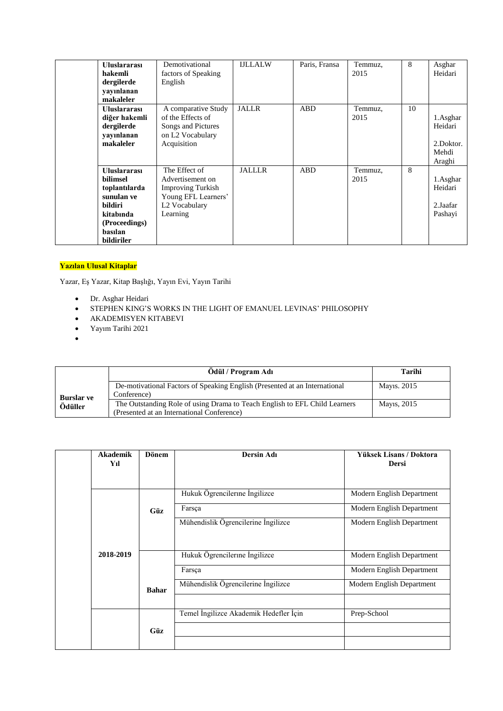| <b>Uluslararası</b><br>hakemli<br>dergilerde<br>yayınlanan<br>makaleler                                                          | Demotivational<br>factors of Speaking<br>English                                                                  | <b>IJLLALW</b> | Paris, Fransa | Temmuz,<br>2015 | 8  | Asghar<br>Heidari                                   |
|----------------------------------------------------------------------------------------------------------------------------------|-------------------------------------------------------------------------------------------------------------------|----------------|---------------|-----------------|----|-----------------------------------------------------|
| <b>Uluslararası</b><br>diğer hakemli<br>dergilerde<br>yayınlanan<br>makaleler                                                    | A comparative Study<br>of the Effects of<br>Songs and Pictures<br>on L <sub>2</sub> Vocabulary<br>Acquisition     | <b>JALLR</b>   | <b>ABD</b>    | Temmuz,<br>2015 | 10 | 1.Asghar<br>Heidari<br>2.Doktor.<br>Mehdi<br>Araghi |
| <b>Uluslararası</b><br>bilimsel<br>toplantılarda<br>sunulan ve<br>bildiri<br>kitabında<br>(Proceedings)<br>basılan<br>bildiriler | The Effect of<br>Advertisement on<br><b>Improving Turkish</b><br>Young EFL Learners'<br>L2 Vocabulary<br>Learning | <b>JALLLR</b>  | <b>ABD</b>    | Temmuz,<br>2015 | 8  | 1.Asghar<br>Heidari<br>2.Jaafar<br>Pashayi          |

## **Yazılan Ulusal Kitaplar**

Yazar, Eş Yazar, Kitap Başlığı, Yayın Evi, Yayın Tarihi

- Dr. Asghar Heidari
- STEPHEN KING'S WORKS IN THE LIGHT OF EMANUEL LEVINAS' PHILOSOPHY
- AKADEMISYEN KITABEVI
- Yayım Tarihi 2021
- $\bullet$

|                   | Ödül / Program Adı                                                                                                       | Tarihi      |
|-------------------|--------------------------------------------------------------------------------------------------------------------------|-------------|
| <b>Burslar</b> ve | De-motivational Factors of Speaking English (Presented at an International<br>Conference)                                | Mayıs. 2015 |
| Ödüller           | The Outstanding Role of using Drama to Teach English to EFL Child Learners<br>(Presented at an International Conference) | Mayıs, 2015 |

| <b>Akademik</b><br>Yıl | <b>Dönem</b> | Dersin Adı                             | Yüksek Lisans / Doktora<br><b>Dersi</b> |
|------------------------|--------------|----------------------------------------|-----------------------------------------|
|                        |              |                                        |                                         |
|                        |              | Hukuk Ögrencilerine İngilizce          | Modern English Department               |
|                        | Güz          | Farsça                                 | Modern English Department               |
|                        |              | Mühendislik Ögrencilerine İngilizce    | Modern English Department               |
| 2018-2019              |              | Hukuk Ögrencilerine İngilizce          | Modern English Department               |
|                        |              | Farsça                                 | Modern English Department               |
|                        | <b>Bahar</b> | Mühendislik Ögrencilerine İngilizce    | Modern English Department               |
|                        |              |                                        |                                         |
|                        |              | Temel İngilizce Akademik Hedefler İçin | Prep-School                             |
|                        | Güz          |                                        |                                         |
|                        |              |                                        |                                         |